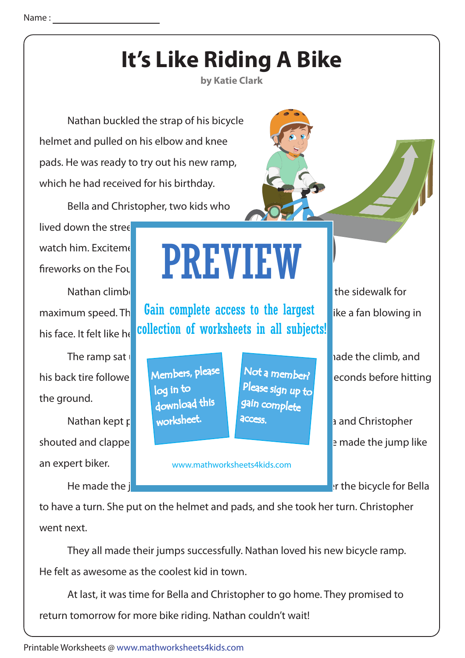

 They all made their jumps successfully. Nathan loved his new bicycle ramp. He felt as awesome as the coolest kid in town.

 At last, it was time for Bella and Christopher to go home. They promised to return tomorrow for more bike riding. Nathan couldn't wait!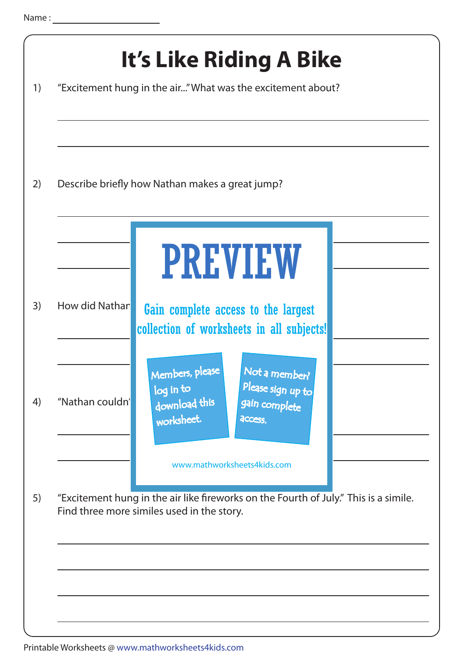|                 | Describe briefly how Nathan makes a great jump?                                                                               |
|-----------------|-------------------------------------------------------------------------------------------------------------------------------|
|                 | <b>PREVIEW</b>                                                                                                                |
| How did Nathan  | Gain complete access to the largest<br>collection of worksheets in all subjects!                                              |
| "Nathan couldn' | Not a member?<br>Members, please<br>Please sign up to<br>log in to<br>download this<br>gain complete<br>worksheet.<br>access. |
|                 | www.mathworksheets4kids.com                                                                                                   |